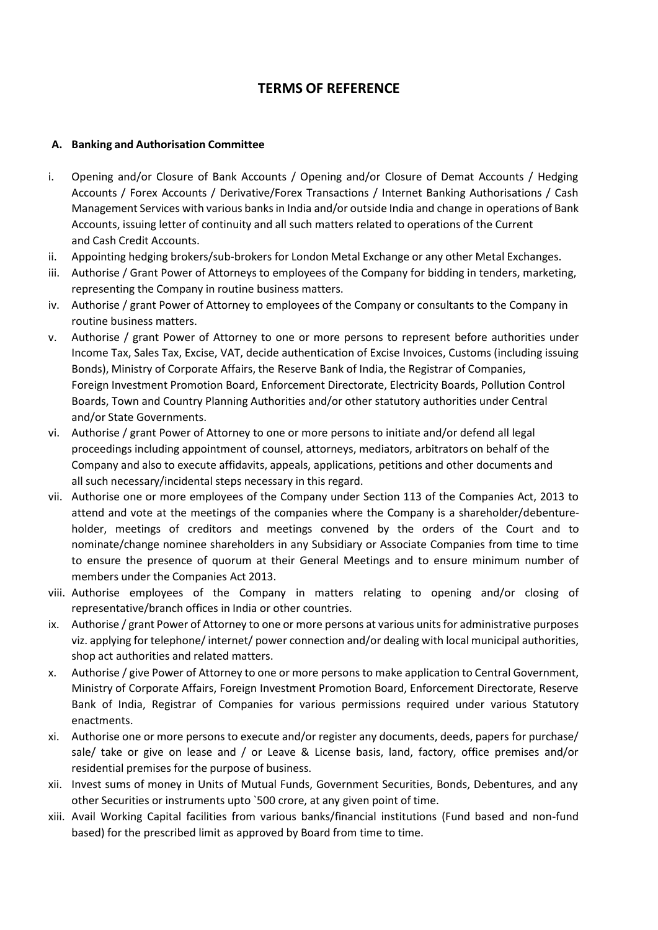## **TERMS OF REFERENCE**

## **A. Banking and Authorisation Committee**

- i. Opening and/or Closure of Bank Accounts / Opening and/or Closure of Demat Accounts / Hedging Accounts / Forex Accounts / Derivative/Forex Transactions / Internet Banking Authorisations / Cash Management Services with various banksin India and/or outside India and change in operations of Bank Accounts, issuing letter of continuity and all such matters related to operations of the Current and Cash Credit Accounts.
- ii. Appointing hedging brokers/sub-brokers for London Metal Exchange or any other Metal Exchanges.
- iii. Authorise / Grant Power of Attorneys to employees of the Company for bidding in tenders, marketing, representing the Company in routine business matters.
- iv. Authorise / grant Power of Attorney to employees of the Company or consultants to the Company in routine business matters.
- v. Authorise / grant Power of Attorney to one or more persons to represent before authorities under Income Tax, Sales Tax, Excise, VAT, decide authentication of Excise Invoices, Customs (including issuing Bonds), Ministry of Corporate Affairs, the Reserve Bank of India, the Registrar of Companies, Foreign Investment Promotion Board, Enforcement Directorate, Electricity Boards, Pollution Control Boards, Town and Country Planning Authorities and/or other statutory authorities under Central and/or State Governments.
- vi. Authorise / grant Power of Attorney to one or more persons to initiate and/or defend all legal proceedings including appointment of counsel, attorneys, mediators, arbitrators on behalf of the Company and also to execute affidavits, appeals, applications, petitions and other documents and all such necessary/incidental steps necessary in this regard.
- vii. Authorise one or more employees of the Company under Section 113 of the Companies Act, 2013 to attend and vote at the meetings of the companies where the Company is a shareholder/debentureholder, meetings of creditors and meetings convened by the orders of the Court and to nominate/change nominee shareholders in any Subsidiary or Associate Companies from time to time to ensure the presence of quorum at their General Meetings and to ensure minimum number of members under the Companies Act 2013.
- viii. Authorise employees of the Company in matters relating to opening and/or closing of representative/branch offices in India or other countries.
- ix. Authorise / grant Power of Attorney to one or more persons at various unitsfor administrative purposes viz. applying for telephone/ internet/ power connection and/or dealing with local municipal authorities, shop act authorities and related matters.
- x. Authorise / give Power of Attorney to one or more persons to make application to Central Government, Ministry of Corporate Affairs, Foreign Investment Promotion Board, Enforcement Directorate, Reserve Bank of India, Registrar of Companies for various permissions required under various Statutory enactments.
- xi. Authorise one or more persons to execute and/or register any documents, deeds, papers for purchase/ sale/ take or give on lease and / or Leave & License basis, land, factory, office premises and/or residential premises for the purpose of business.
- xii. Invest sums of money in Units of Mutual Funds, Government Securities, Bonds, Debentures, and any other Securities or instruments upto `500 crore, at any given point of time.
- xiii. Avail Working Capital facilities from various banks/financial institutions (Fund based and non-fund based) for the prescribed limit as approved by Board from time to time.